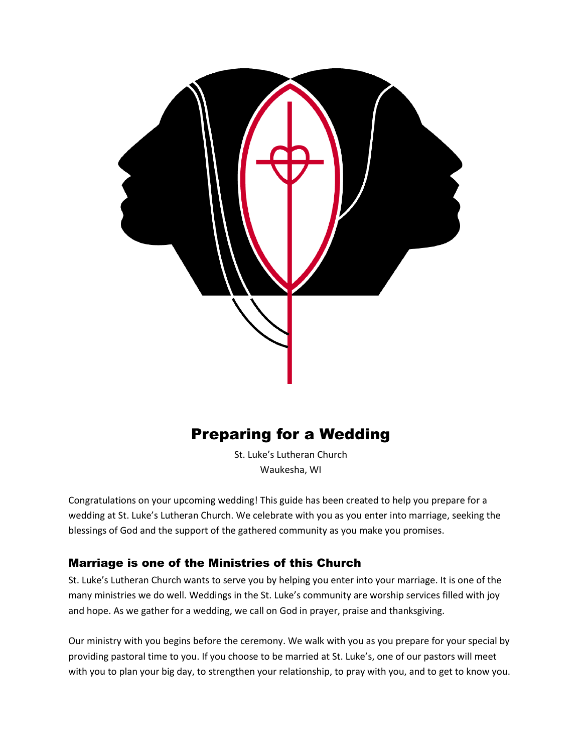

# Preparing for a Wedding

St. Luke's Lutheran Church Waukesha, WI

Congratulations on your upcoming wedding! This guide has been created to help you prepare for a wedding at St. Luke's Lutheran Church. We celebrate with you as you enter into marriage, seeking the blessings of God and the support of the gathered community as you make you promises.

# Marriage is one of the Ministries of this Church

St. Luke's Lutheran Church wants to serve you by helping you enter into your marriage. It is one of the many ministries we do well. Weddings in the St. Luke's community are worship services filled with joy and hope. As we gather for a wedding, we call on God in prayer, praise and thanksgiving.

Our ministry with you begins before the ceremony. We walk with you as you prepare for your special by providing pastoral time to you. If you choose to be married at St. Luke's, one of our pastors will meet with you to plan your big day, to strengthen your relationship, to pray with you, and to get to know you.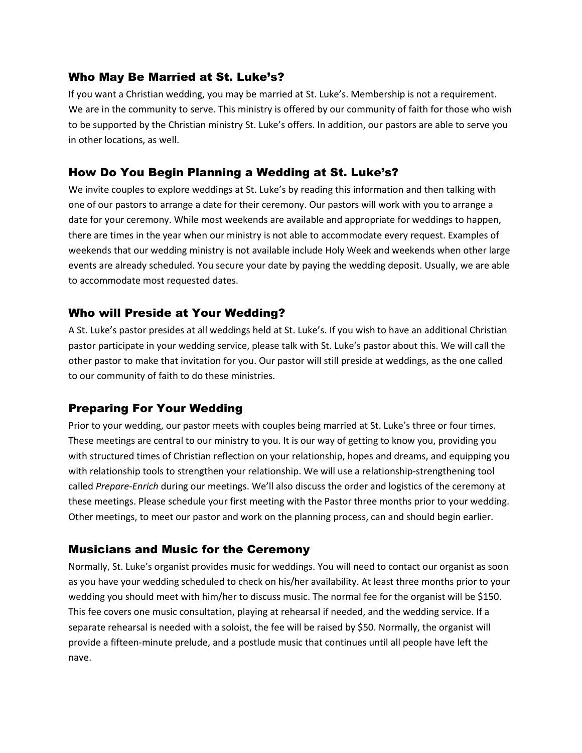## Who May Be Married at St. Luke's?

If you want a Christian wedding, you may be married at St. Luke's. Membership is not a requirement. We are in the community to serve. This ministry is offered by our community of faith for those who wish to be supported by the Christian ministry St. Luke's offers. In addition, our pastors are able to serve you in other locations, as well.

# How Do You Begin Planning a Wedding at St. Luke's?

We invite couples to explore weddings at St. Luke's by reading this information and then talking with one of our pastors to arrange a date for their ceremony. Our pastors will work with you to arrange a date for your ceremony. While most weekends are available and appropriate for weddings to happen, there are times in the year when our ministry is not able to accommodate every request. Examples of weekends that our wedding ministry is not available include Holy Week and weekends when other large events are already scheduled. You secure your date by paying the wedding deposit. Usually, we are able to accommodate most requested dates.

## Who will Preside at Your Wedding?

A St. Luke's pastor presides at all weddings held at St. Luke's. If you wish to have an additional Christian pastor participate in your wedding service, please talk with St. Luke's pastor about this. We will call the other pastor to make that invitation for you. Our pastor will still preside at weddings, as the one called to our community of faith to do these ministries.

# Preparing For Your Wedding

Prior to your wedding, our pastor meets with couples being married at St. Luke's three or four times. These meetings are central to our ministry to you. It is our way of getting to know you, providing you with structured times of Christian reflection on your relationship, hopes and dreams, and equipping you with relationship tools to strengthen your relationship. We will use a relationship-strengthening tool called *Prepare-Enrich* during our meetings. We'll also discuss the order and logistics of the ceremony at these meetings. Please schedule your first meeting with the Pastor three months prior to your wedding. Other meetings, to meet our pastor and work on the planning process, can and should begin earlier.

## Musicians and Music for the Ceremony

Normally, St. Luke's organist provides music for weddings. You will need to contact our organist as soon as you have your wedding scheduled to check on his/her availability. At least three months prior to your wedding you should meet with him/her to discuss music. The normal fee for the organist will be \$150. This fee covers one music consultation, playing at rehearsal if needed, and the wedding service. If a separate rehearsal is needed with a soloist, the fee will be raised by \$50. Normally, the organist will provide a fifteen-minute prelude, and a postlude music that continues until all people have left the nave.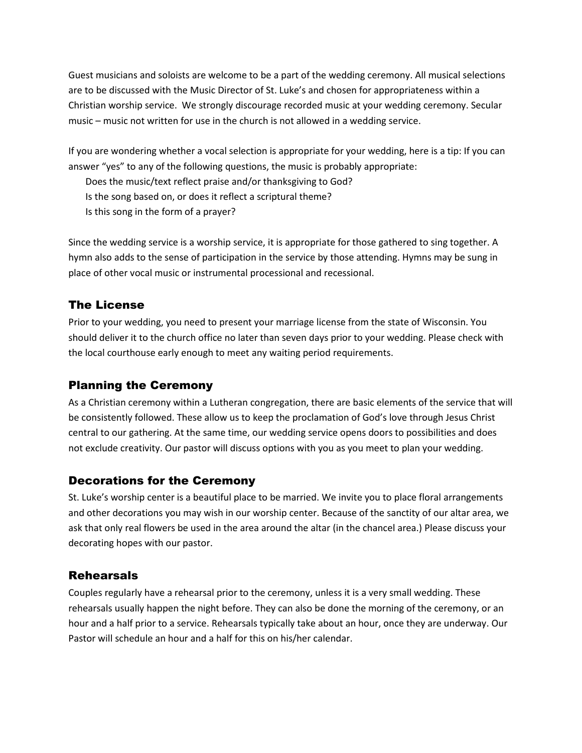Guest musicians and soloists are welcome to be a part of the wedding ceremony. All musical selections are to be discussed with the Music Director of St. Luke's and chosen for appropriateness within a Christian worship service. We strongly discourage recorded music at your wedding ceremony. Secular music – music not written for use in the church is not allowed in a wedding service.

If you are wondering whether a vocal selection is appropriate for your wedding, here is a tip: If you can answer "yes" to any of the following questions, the music is probably appropriate:

- Does the music/text reflect praise and/or thanksgiving to God?
- Is the song based on, or does it reflect a scriptural theme?
- Is this song in the form of a prayer?

Since the wedding service is a worship service, it is appropriate for those gathered to sing together. A hymn also adds to the sense of participation in the service by those attending. Hymns may be sung in place of other vocal music or instrumental processional and recessional.

# The License

Prior to your wedding, you need to present your marriage license from the state of Wisconsin. You should deliver it to the church office no later than seven days prior to your wedding. Please check with the local courthouse early enough to meet any waiting period requirements.

## Planning the Ceremony

As a Christian ceremony within a Lutheran congregation, there are basic elements of the service that will be consistently followed. These allow us to keep the proclamation of God's love through Jesus Christ central to our gathering. At the same time, our wedding service opens doors to possibilities and does not exclude creativity. Our pastor will discuss options with you as you meet to plan your wedding.

## Decorations for the Ceremony

St. Luke's worship center is a beautiful place to be married. We invite you to place floral arrangements and other decorations you may wish in our worship center. Because of the sanctity of our altar area, we ask that only real flowers be used in the area around the altar (in the chancel area.) Please discuss your decorating hopes with our pastor.

## Rehearsals

Couples regularly have a rehearsal prior to the ceremony, unless it is a very small wedding. These rehearsals usually happen the night before. They can also be done the morning of the ceremony, or an hour and a half prior to a service. Rehearsals typically take about an hour, once they are underway. Our Pastor will schedule an hour and a half for this on his/her calendar.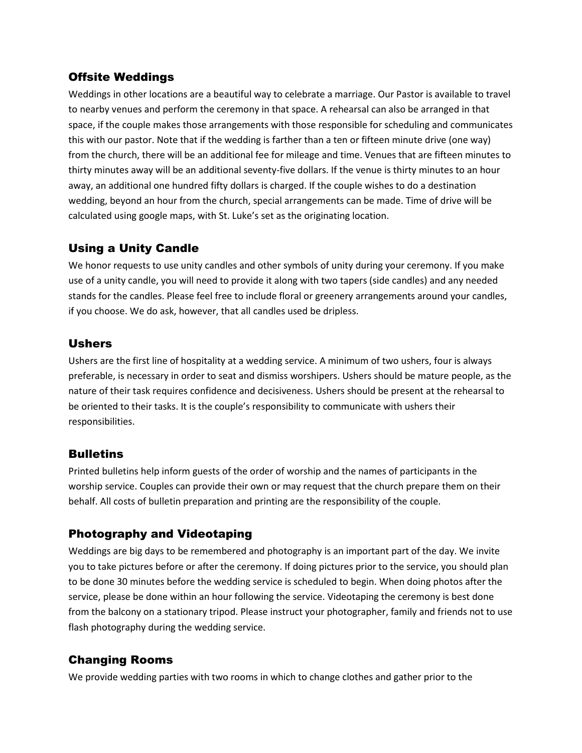## Offsite Weddings

Weddings in other locations are a beautiful way to celebrate a marriage. Our Pastor is available to travel to nearby venues and perform the ceremony in that space. A rehearsal can also be arranged in that space, if the couple makes those arrangements with those responsible for scheduling and communicates this with our pastor. Note that if the wedding is farther than a ten or fifteen minute drive (one way) from the church, there will be an additional fee for mileage and time. Venues that are fifteen minutes to thirty minutes away will be an additional seventy-five dollars. If the venue is thirty minutes to an hour away, an additional one hundred fifty dollars is charged. If the couple wishes to do a destination wedding, beyond an hour from the church, special arrangements can be made. Time of drive will be calculated using google maps, with St. Luke's set as the originating location.

# Using a Unity Candle

We honor requests to use unity candles and other symbols of unity during your ceremony. If you make use of a unity candle, you will need to provide it along with two tapers (side candles) and any needed stands for the candles. Please feel free to include floral or greenery arrangements around your candles, if you choose. We do ask, however, that all candles used be dripless.

## Ushers

Ushers are the first line of hospitality at a wedding service. A minimum of two ushers, four is always preferable, is necessary in order to seat and dismiss worshipers. Ushers should be mature people, as the nature of their task requires confidence and decisiveness. Ushers should be present at the rehearsal to be oriented to their tasks. It is the couple's responsibility to communicate with ushers their responsibilities.

## **Bulletins**

Printed bulletins help inform guests of the order of worship and the names of participants in the worship service. Couples can provide their own or may request that the church prepare them on their behalf. All costs of bulletin preparation and printing are the responsibility of the couple.

# Photography and Videotaping

Weddings are big days to be remembered and photography is an important part of the day. We invite you to take pictures before or after the ceremony. If doing pictures prior to the service, you should plan to be done 30 minutes before the wedding service is scheduled to begin. When doing photos after the service, please be done within an hour following the service. Videotaping the ceremony is best done from the balcony on a stationary tripod. Please instruct your photographer, family and friends not to use flash photography during the wedding service.

# Changing Rooms

We provide wedding parties with two rooms in which to change clothes and gather prior to the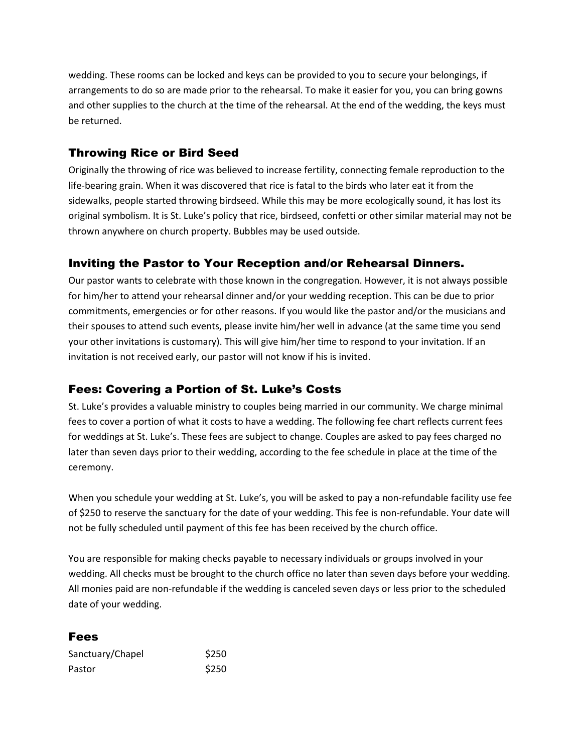wedding. These rooms can be locked and keys can be provided to you to secure your belongings, if arrangements to do so are made prior to the rehearsal. To make it easier for you, you can bring gowns and other supplies to the church at the time of the rehearsal. At the end of the wedding, the keys must be returned.

# Throwing Rice or Bird Seed

Originally the throwing of rice was believed to increase fertility, connecting female reproduction to the life-bearing grain. When it was discovered that rice is fatal to the birds who later eat it from the sidewalks, people started throwing birdseed. While this may be more ecologically sound, it has lost its original symbolism. It is St. Luke's policy that rice, birdseed, confetti or other similar material may not be thrown anywhere on church property. Bubbles may be used outside.

# Inviting the Pastor to Your Reception and/or Rehearsal Dinners.

Our pastor wants to celebrate with those known in the congregation. However, it is not always possible for him/her to attend your rehearsal dinner and/or your wedding reception. This can be due to prior commitments, emergencies or for other reasons. If you would like the pastor and/or the musicians and their spouses to attend such events, please invite him/her well in advance (at the same time you send your other invitations is customary). This will give him/her time to respond to your invitation. If an invitation is not received early, our pastor will not know if his is invited.

# Fees: Covering a Portion of St. Luke's Costs

St. Luke's provides a valuable ministry to couples being married in our community. We charge minimal fees to cover a portion of what it costs to have a wedding. The following fee chart reflects current fees for weddings at St. Luke's. These fees are subject to change. Couples are asked to pay fees charged no later than seven days prior to their wedding, according to the fee schedule in place at the time of the ceremony.

When you schedule your wedding at St. Luke's, you will be asked to pay a non-refundable facility use fee of \$250 to reserve the sanctuary for the date of your wedding. This fee is non-refundable. Your date will not be fully scheduled until payment of this fee has been received by the church office.

You are responsible for making checks payable to necessary individuals or groups involved in your wedding. All checks must be brought to the church office no later than seven days before your wedding. All monies paid are non-refundable if the wedding is canceled seven days or less prior to the scheduled date of your wedding.

# Fees

| Sanctuary/Chapel | \$250 |
|------------------|-------|
| Pastor           | \$250 |